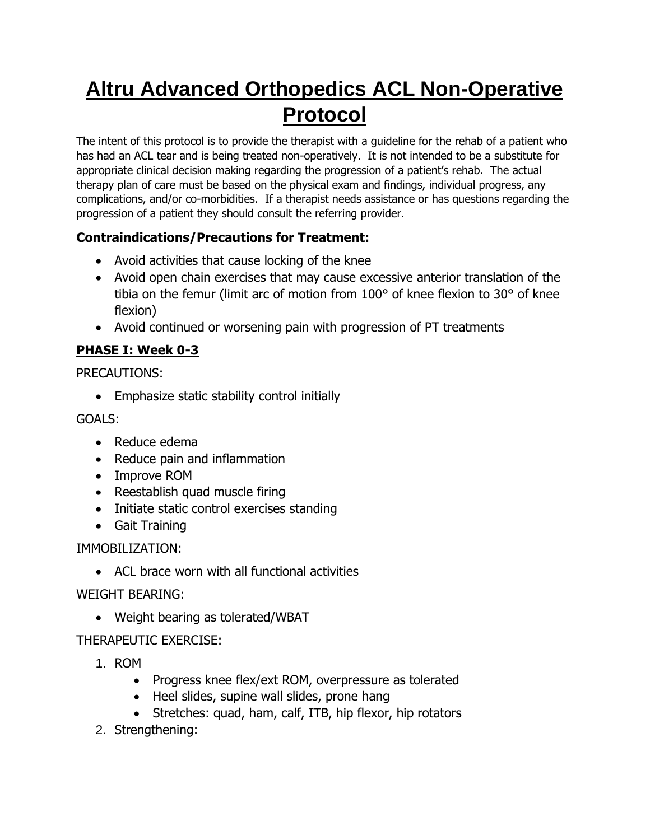# **Altru Advanced Orthopedics ACL Non-Operative Protocol**

The intent of this protocol is to provide the therapist with a guideline for the rehab of a patient who has had an ACL tear and is being treated non-operatively. It is not intended to be a substitute for appropriate clinical decision making regarding the progression of a patient's rehab. The actual therapy plan of care must be based on the physical exam and findings, individual progress, any complications, and/or co-morbidities. If a therapist needs assistance or has questions regarding the progression of a patient they should consult the referring provider.

# **Contraindications/Precautions for Treatment:**

- Avoid activities that cause locking of the knee
- Avoid open chain exercises that may cause excessive anterior translation of the tibia on the femur (limit arc of motion from 100° of knee flexion to 30° of knee flexion)
- Avoid continued or worsening pain with progression of PT treatments

# **PHASE I: Week 0-3**

PRECAUTIONS:

• Emphasize static stability control initially

GOALS:

- Reduce edema
- Reduce pain and inflammation
- Improve ROM
- Reestablish quad muscle firing
- Initiate static control exercises standing
- Gait Training

IMMOBILIZATION:

• ACL brace worn with all functional activities

## WEIGHT BEARING:

• Weight bearing as tolerated/WBAT

# THERAPEUTIC EXERCISE:

- 1. ROM
	- Progress knee flex/ext ROM, overpressure as tolerated
	- Heel slides, supine wall slides, prone hang
	- Stretches: quad, ham, calf, ITB, hip flexor, hip rotators
- 2. Strengthening: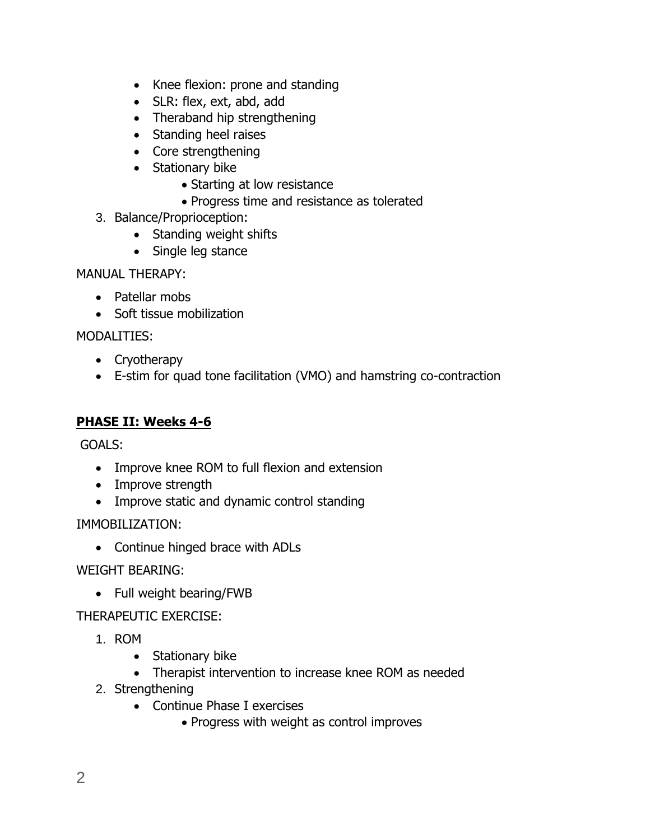- Knee flexion: prone and standing
- SLR: flex, ext, abd, add
- Theraband hip strengthening
- Standing heel raises
- Core strengthening
- Stationary bike
	- Starting at low resistance
	- Progress time and resistance as tolerated
- 3. Balance/Proprioception:
	- Standing weight shifts
	- Single leg stance

MANUAL THERAPY:

- Patellar mobs
- Soft tissue mobilization

MODALITIES:

- Cryotherapy
- E-stim for quad tone facilitation (VMO) and hamstring co-contraction

## **PHASE II: Weeks 4-6**

GOALS:

- Improve knee ROM to full flexion and extension
- Improve strength
- Improve static and dynamic control standing

IMMOBILIZATION:

• Continue hinged brace with ADLs

WEIGHT BEARING:

• Full weight bearing/FWB

THERAPEUTIC EXERCISE:

- 1. ROM
	- Stationary bike
	- Therapist intervention to increase knee ROM as needed
- 2. Strengthening
	- Continue Phase I exercises
		- Progress with weight as control improves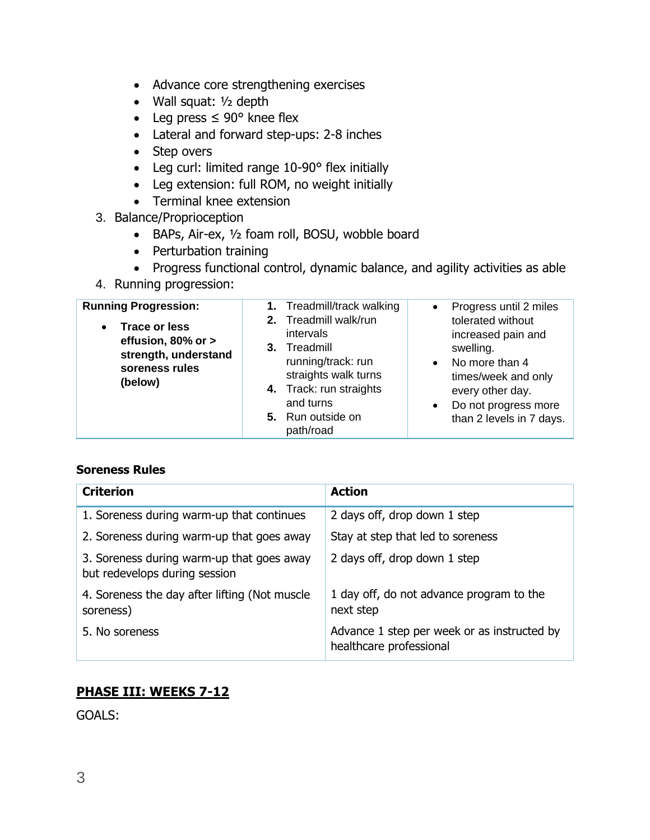- Advance core strengthening exercises
- Wall squat: ½ depth
- Leg press  $\leq 90^\circ$  knee flex
- Lateral and forward step-ups: 2-8 inches
- Step overs
- Leg curl: limited range 10-90° flex initially
- Leg extension: full ROM, no weight initially
- Terminal knee extension
- 3. Balance/Proprioception
	- BAPs, Air-ex, ½ foam roll, BOSU, wobble board
	- Perturbation training
	- Progress functional control, dynamic balance, and agility activities as able
- 4. Running progression:

| <b>Running Progression:</b>                                                                                  | 1. Treadmill/track walking                                                                                                                                                 | Progress until 2 miles                                                                                                                                                                          |
|--------------------------------------------------------------------------------------------------------------|----------------------------------------------------------------------------------------------------------------------------------------------------------------------------|-------------------------------------------------------------------------------------------------------------------------------------------------------------------------------------------------|
| <b>Trace or less</b><br>$\bullet$<br>effusion, 80% or ><br>strength, understand<br>soreness rules<br>(below) | 2. Treadmill walk/run<br>intervals<br>3. Treadmill<br>running/track: run<br>straights walk turns<br>4. Track: run straights<br>and turns<br>5. Run outside on<br>path/road | tolerated without<br>increased pain and<br>swelling.<br>No more than 4<br>$\bullet$<br>times/week and only<br>every other day.<br>Do not progress more<br>$\bullet$<br>than 2 levels in 7 days. |

#### **Soreness Rules**

| <b>Criterion</b>                                                           | <b>Action</b>                                                          |
|----------------------------------------------------------------------------|------------------------------------------------------------------------|
| 1. Soreness during warm-up that continues                                  | 2 days off, drop down 1 step                                           |
| 2. Soreness during warm-up that goes away                                  | Stay at step that led to soreness                                      |
| 3. Soreness during warm-up that goes away<br>but redevelops during session | 2 days off, drop down 1 step                                           |
| 4. Soreness the day after lifting (Not muscle<br>soreness)                 | 1 day off, do not advance program to the<br>next step                  |
| 5. No soreness                                                             | Advance 1 step per week or as instructed by<br>healthcare professional |

## **PHASE III: WEEKS 7-12**

GOALS: